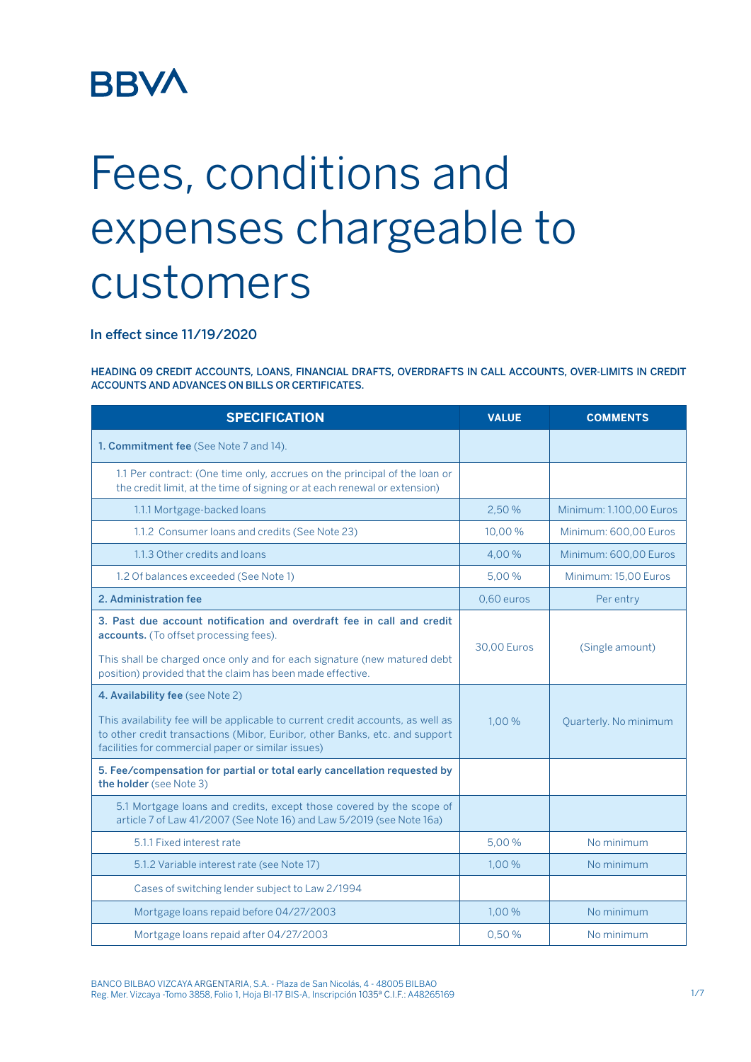## **BBVA**

# Fees, conditions and expenses chargeable to customers

In effect since 11/19/2020

HEADING 09 CREDIT ACCOUNTS, LOANS, FINANCIAL DRAFTS, OVERDRAFTS IN CALL ACCOUNTS, OVER-LIMITS IN CREDIT ACCOUNTS AND ADVANCES ON BILLS OR CERTIFICATES.

| <b>SPECIFICATION</b>                                                                                                                                                                                                                                      | <b>VALUE</b>       | <b>COMMENTS</b>         |
|-----------------------------------------------------------------------------------------------------------------------------------------------------------------------------------------------------------------------------------------------------------|--------------------|-------------------------|
| 1. Commitment fee (See Note 7 and 14).                                                                                                                                                                                                                    |                    |                         |
| 1.1 Per contract: (One time only, accrues on the principal of the loan or<br>the credit limit, at the time of signing or at each renewal or extension)                                                                                                    |                    |                         |
| 1.1.1 Mortgage-backed loans                                                                                                                                                                                                                               | 2,50 %             | Minimum: 1.100,00 Euros |
| 1.1.2 Consumer loans and credits (See Note 23)                                                                                                                                                                                                            | 10,00%             | Minimum: 600,00 Euros   |
| 1.1.3 Other credits and loans                                                                                                                                                                                                                             | 4.00%              | Minimum: 600,00 Euros   |
| 1.2 Of balances exceeded (See Note 1)                                                                                                                                                                                                                     | 5,00 %             | Minimum: 15,00 Euros    |
| 2. Administration fee                                                                                                                                                                                                                                     | 0,60 euros         | Per entry               |
| 3. Past due account notification and overdraft fee in call and credit<br>accounts. (To offset processing fees).<br>This shall be charged once only and for each signature (new matured debt<br>position) provided that the claim has been made effective. | <b>30.00 Euros</b> | (Single amount)         |
| 4. Availability fee (see Note 2)<br>This availability fee will be applicable to current credit accounts, as well as<br>to other credit transactions (Mibor, Euribor, other Banks, etc. and support<br>facilities for commercial paper or similar issues)  | 1.00%              | Quarterly. No minimum   |
| 5. Fee/compensation for partial or total early cancellation requested by<br>the holder (see Note 3)                                                                                                                                                       |                    |                         |
| 5.1 Mortgage loans and credits, except those covered by the scope of<br>article 7 of Law 41/2007 (See Note 16) and Law 5/2019 (see Note 16a)                                                                                                              |                    |                         |
| 5.1.1 Fixed interest rate                                                                                                                                                                                                                                 | 5,00 %             | No minimum              |
| 5.1.2 Variable interest rate (see Note 17)                                                                                                                                                                                                                | 1.00%              | No minimum              |
| Cases of switching lender subject to Law 2/1994                                                                                                                                                                                                           |                    |                         |
| Mortgage Ioans repaid before 04/27/2003                                                                                                                                                                                                                   | 1,00 %             | No minimum              |
| Mortgage Ioans repaid after 04/27/2003                                                                                                                                                                                                                    | 0,50%              | No minimum              |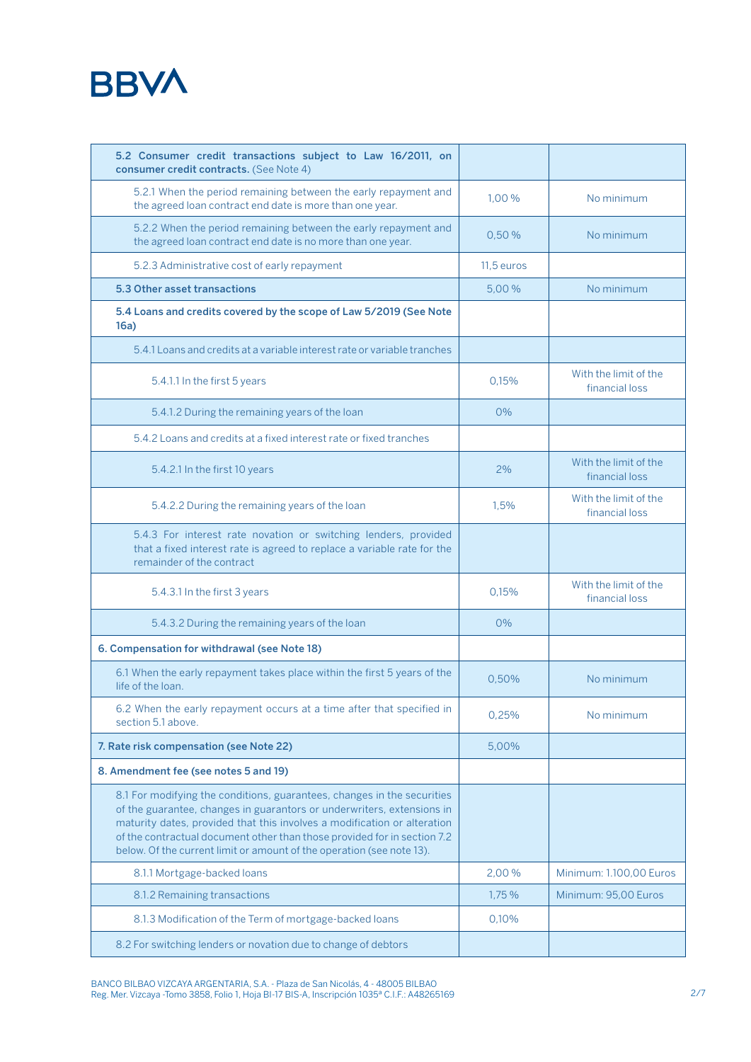

| 5.2 Consumer credit transactions subject to Law 16/2011, on<br>consumer credit contracts. (See Note 4)                                                                                                                                                                                                                                                                             |            |                                         |
|------------------------------------------------------------------------------------------------------------------------------------------------------------------------------------------------------------------------------------------------------------------------------------------------------------------------------------------------------------------------------------|------------|-----------------------------------------|
| 5.2.1 When the period remaining between the early repayment and<br>the agreed loan contract end date is more than one year.                                                                                                                                                                                                                                                        | 1,00 %     | No minimum                              |
| 5.2.2 When the period remaining between the early repayment and<br>the agreed loan contract end date is no more than one year.                                                                                                                                                                                                                                                     | 0,50 %     | No minimum                              |
| 5.2.3 Administrative cost of early repayment                                                                                                                                                                                                                                                                                                                                       | 11,5 euros |                                         |
| 5.3 Other asset transactions                                                                                                                                                                                                                                                                                                                                                       | 5,00 %     | No minimum                              |
| 5.4 Loans and credits covered by the scope of Law 5/2019 (See Note<br>16a)                                                                                                                                                                                                                                                                                                         |            |                                         |
| 5.4.1 Loans and credits at a variable interest rate or variable tranches                                                                                                                                                                                                                                                                                                           |            |                                         |
| 5.4.1.1 In the first 5 years                                                                                                                                                                                                                                                                                                                                                       | 0,15%      | With the limit of the<br>financial loss |
| 5.4.1.2 During the remaining years of the loan                                                                                                                                                                                                                                                                                                                                     | $0\%$      |                                         |
| 5.4.2 Loans and credits at a fixed interest rate or fixed tranches                                                                                                                                                                                                                                                                                                                 |            |                                         |
| 5.4.2.1 In the first 10 years                                                                                                                                                                                                                                                                                                                                                      | 2%         | With the limit of the<br>financial loss |
| 5.4.2.2 During the remaining years of the loan                                                                                                                                                                                                                                                                                                                                     | 1,5%       | With the limit of the<br>financial loss |
| 5.4.3 For interest rate novation or switching lenders, provided<br>that a fixed interest rate is agreed to replace a variable rate for the<br>remainder of the contract                                                                                                                                                                                                            |            |                                         |
| 5.4.3.1 In the first 3 years                                                                                                                                                                                                                                                                                                                                                       | 0,15%      | With the limit of the<br>financial loss |
| 5.4.3.2 During the remaining years of the loan                                                                                                                                                                                                                                                                                                                                     | $O\%$      |                                         |
| 6. Compensation for withdrawal (see Note 18)                                                                                                                                                                                                                                                                                                                                       |            |                                         |
| 6.1 When the early repayment takes place within the first 5 years of the<br>life of the loan.                                                                                                                                                                                                                                                                                      | 0,50%      | No minimum                              |
| 6.2 When the early repayment occurs at a time after that specified in<br>section 5.1 above.                                                                                                                                                                                                                                                                                        | 0,25%      | No minimum                              |
| 7. Rate risk compensation (see Note 22)                                                                                                                                                                                                                                                                                                                                            | 5,00%      |                                         |
| 8. Amendment fee (see notes 5 and 19)                                                                                                                                                                                                                                                                                                                                              |            |                                         |
| 8.1 For modifying the conditions, guarantees, changes in the securities<br>of the guarantee, changes in guarantors or underwriters, extensions in<br>maturity dates, provided that this involves a modification or alteration<br>of the contractual document other than those provided for in section 7.2<br>below. Of the current limit or amount of the operation (see note 13). |            |                                         |
| 8.1.1 Mortgage-backed loans                                                                                                                                                                                                                                                                                                                                                        | 2,00 %     | Minimum: 1.100,00 Euros                 |
| 8.1.2 Remaining transactions                                                                                                                                                                                                                                                                                                                                                       | 1,75 %     | Minimum: 95,00 Euros                    |
| 8.1.3 Modification of the Term of mortgage-backed loans                                                                                                                                                                                                                                                                                                                            | 0,10%      |                                         |
| 8.2 For switching lenders or novation due to change of debtors                                                                                                                                                                                                                                                                                                                     |            |                                         |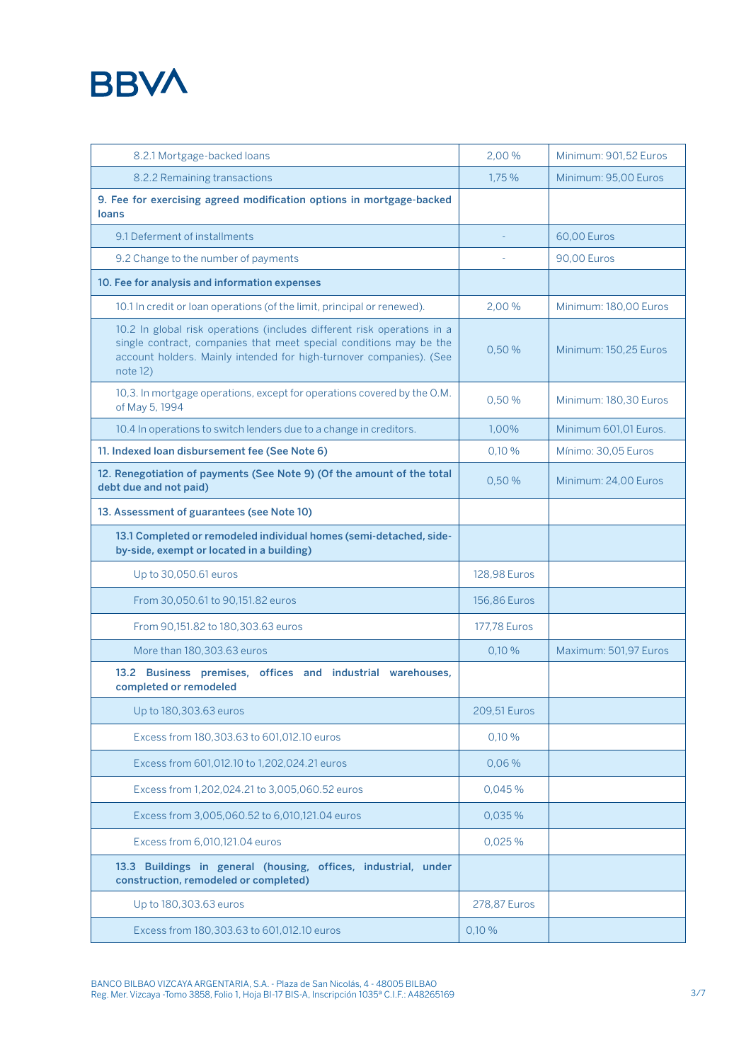

| 8.2.1 Mortgage-backed loans                                                                                                                                                                                                      | 2.00%               | Minimum: 901,52 Euros |
|----------------------------------------------------------------------------------------------------------------------------------------------------------------------------------------------------------------------------------|---------------------|-----------------------|
| 8.2.2 Remaining transactions                                                                                                                                                                                                     | 1,75 %              | Minimum: 95,00 Euros  |
| 9. Fee for exercising agreed modification options in mortgage-backed<br>loans                                                                                                                                                    |                     |                       |
| 9.1 Deferment of installments                                                                                                                                                                                                    |                     | 60,00 Euros           |
| 9.2 Change to the number of payments                                                                                                                                                                                             |                     | <b>90,00 Euros</b>    |
| 10. Fee for analysis and information expenses                                                                                                                                                                                    |                     |                       |
| 10.1 In credit or loan operations (of the limit, principal or renewed).                                                                                                                                                          | 2,00%               | Minimum: 180,00 Euros |
| 10.2 In global risk operations (includes different risk operations in a<br>single contract, companies that meet special conditions may be the<br>account holders. Mainly intended for high-turnover companies). (See<br>note 12) | 0,50%               | Minimum: 150,25 Euros |
| 10,3. In mortgage operations, except for operations covered by the O.M.<br>of May 5, 1994                                                                                                                                        | 0,50 %              | Minimum: 180,30 Euros |
| 10.4 In operations to switch lenders due to a change in creditors.                                                                                                                                                               | 1,00%               | Minimum 601.01 Euros. |
| 11. Indexed Ioan disbursement fee (See Note 6)                                                                                                                                                                                   | 0,10%               | Mínimo: 30.05 Euros   |
| 12. Renegotiation of payments (See Note 9) (Of the amount of the total<br>debt due and not paid)                                                                                                                                 | 0,50%               | Minimum: 24,00 Euros  |
| 13. Assessment of guarantees (see Note 10)                                                                                                                                                                                       |                     |                       |
| 13.1 Completed or remodeled individual homes (semi-detached, side-<br>by-side, exempt or located in a building)                                                                                                                  |                     |                       |
| Up to 30,050.61 euros                                                                                                                                                                                                            | 128,98 Euros        |                       |
| From 30,050.61 to 90,151.82 euros                                                                                                                                                                                                | 156,86 Euros        |                       |
| From 90,151.82 to 180,303.63 euros                                                                                                                                                                                               | <b>177,78 Euros</b> |                       |
| More than 180,303.63 euros                                                                                                                                                                                                       | 0,10%               | Maximum: 501,97 Euros |
| 13.2 Business premises, offices and industrial warehouses,<br>completed or remodeled                                                                                                                                             |                     |                       |
| Up to 180, 303.63 euros                                                                                                                                                                                                          | 209,51 Euros        |                       |
| Excess from 180,303.63 to 601,012.10 euros                                                                                                                                                                                       | 0,10 %              |                       |
| Excess from 601,012.10 to 1,202,024.21 euros                                                                                                                                                                                     | 0.06%               |                       |
| Excess from 1,202,024.21 to 3,005,060.52 euros                                                                                                                                                                                   | 0.045%              |                       |
| Excess from 3,005,060.52 to 6,010,121.04 euros                                                                                                                                                                                   | 0,035%              |                       |
| Excess from 6,010,121.04 euros                                                                                                                                                                                                   | 0,025 %             |                       |
| 13.3 Buildings in general (housing, offices, industrial, under<br>construction, remodeled or completed)                                                                                                                          |                     |                       |
| Up to 180,303.63 euros                                                                                                                                                                                                           | 278,87 Euros        |                       |
| Excess from 180,303.63 to 601,012.10 euros                                                                                                                                                                                       | 0,10%               |                       |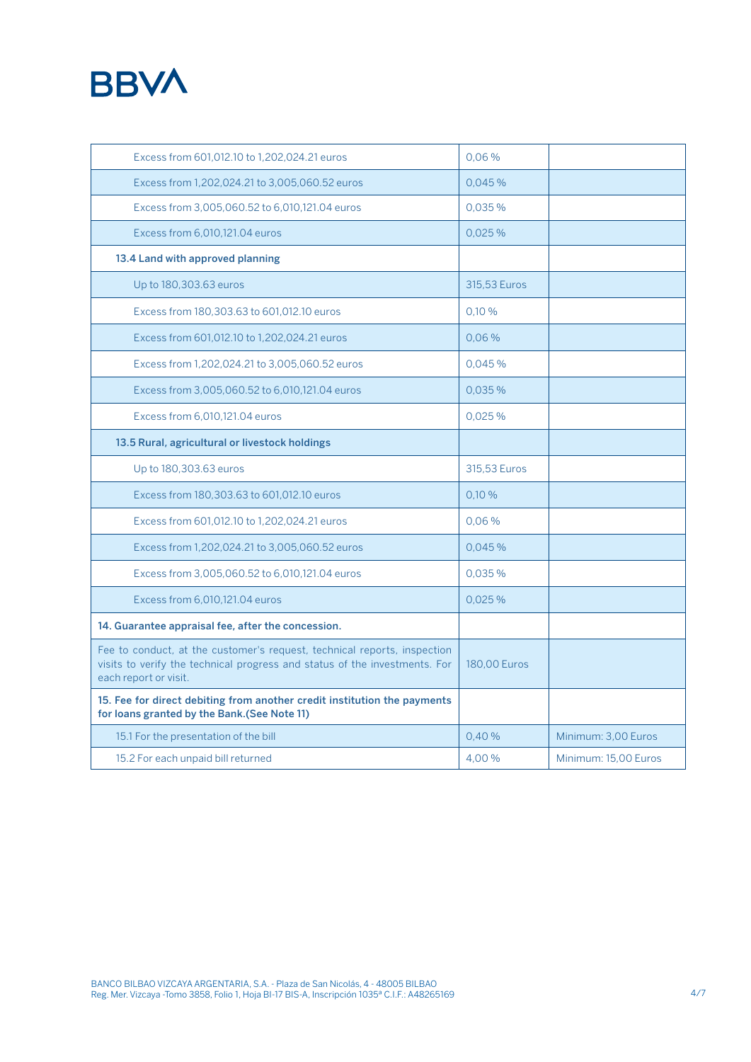### **BBVA**

| Excess from 601,012.10 to 1,202,024.21 euros                                                                                                                                    | 0,06%        |                      |
|---------------------------------------------------------------------------------------------------------------------------------------------------------------------------------|--------------|----------------------|
| Excess from 1,202,024.21 to 3,005,060.52 euros                                                                                                                                  | 0.045%       |                      |
| Excess from 3,005,060.52 to 6,010,121.04 euros                                                                                                                                  | 0.035%       |                      |
| Excess from 6,010,121.04 euros                                                                                                                                                  | 0.025%       |                      |
| 13.4 Land with approved planning                                                                                                                                                |              |                      |
| Up to 180,303.63 euros                                                                                                                                                          | 315,53 Euros |                      |
| Excess from 180,303.63 to 601,012.10 euros                                                                                                                                      | 0.10%        |                      |
| Excess from 601,012.10 to 1,202,024.21 euros                                                                                                                                    | 0.06%        |                      |
| Excess from 1,202,024.21 to 3,005,060.52 euros                                                                                                                                  | 0.045%       |                      |
| Excess from 3,005,060.52 to 6,010,121.04 euros                                                                                                                                  | 0.035%       |                      |
| Excess from 6.010.121.04 euros                                                                                                                                                  | 0.025%       |                      |
| 13.5 Rural, agricultural or livestock holdings                                                                                                                                  |              |                      |
| Up to 180,303.63 euros                                                                                                                                                          | 315,53 Euros |                      |
| Excess from 180,303.63 to 601,012.10 euros                                                                                                                                      | 0.10%        |                      |
| Excess from 601,012.10 to 1,202,024.21 euros                                                                                                                                    | $0.06\%$     |                      |
| Excess from 1,202,024.21 to 3,005,060.52 euros                                                                                                                                  | 0.045%       |                      |
| Excess from 3,005,060.52 to 6,010,121.04 euros                                                                                                                                  | 0.035%       |                      |
| Excess from 6,010,121.04 euros                                                                                                                                                  | 0.025%       |                      |
| 14. Guarantee appraisal fee, after the concession.                                                                                                                              |              |                      |
| Fee to conduct, at the customer's request, technical reports, inspection<br>visits to verify the technical progress and status of the investments. For<br>each report or visit. | 180,00 Euros |                      |
| 15. Fee for direct debiting from another credit institution the payments<br>for loans granted by the Bank.(See Note 11)                                                         |              |                      |
| 15.1 For the presentation of the bill                                                                                                                                           | 0,40%        | Minimum: 3,00 Euros  |
| 15.2 For each unpaid bill returned                                                                                                                                              | 4.00%        | Minimum: 15.00 Euros |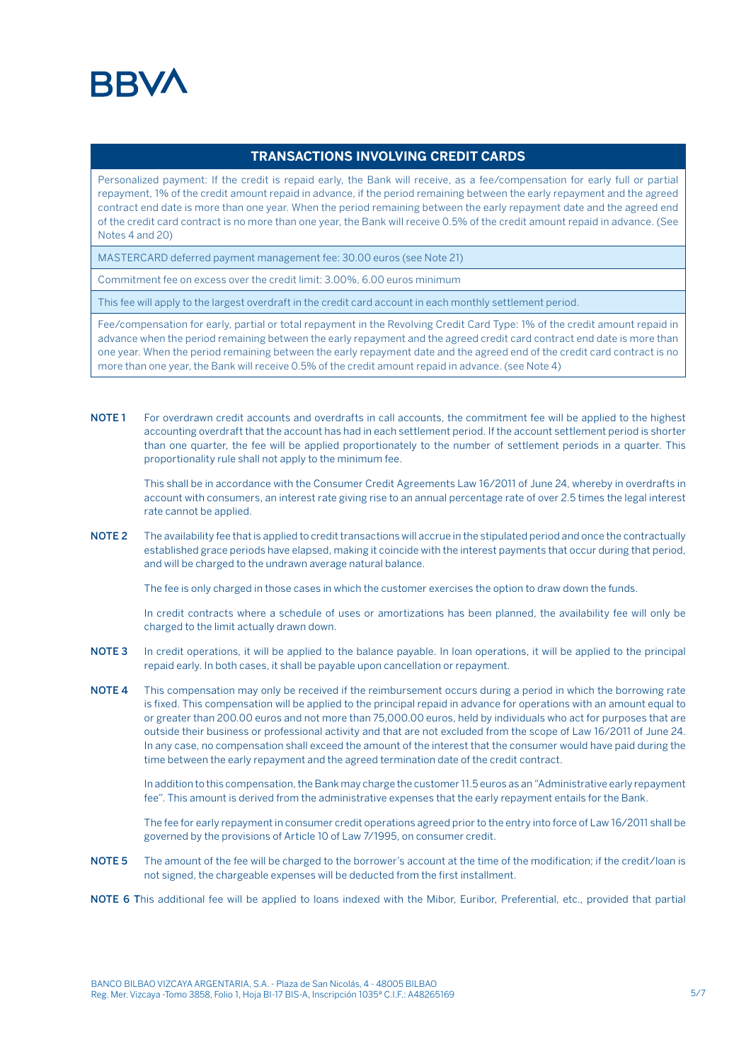#### **BRV**

#### **TRANSACTIONS INVOLVING CREDIT CARDS**

Personalized payment: If the credit is repaid early, the Bank will receive, as a fee/compensation for early full or partial repayment, 1% of the credit amount repaid in advance, if the period remaining between the early repayment and the agreed contract end date is more than one year. When the period remaining between the early repayment date and the agreed end of the credit card contract is no more than one year, the Bank will receive 0.5% of the credit amount repaid in advance. (See Notes 4 and 20)

MASTERCARD deferred payment management fee: 30.00 euros (see Note 21)

Commitment fee on excess over the credit limit: 3.00%, 6.00 euros minimum

This fee will apply to the largest overdraft in the credit card account in each monthly settlement period.

Fee/compensation for early, partial or total repayment in the Revolving Credit Card Type: 1% of the credit amount repaid in advance when the period remaining between the early repayment and the agreed credit card contract end date is more than one year. When the period remaining between the early repayment date and the agreed end of the credit card contract is no more than one year, the Bank will receive 0.5% of the credit amount repaid in advance. (see Note 4)

NOTE 1 For overdrawn credit accounts and overdrafts in call accounts, the commitment fee will be applied to the highest accounting overdraft that the account has had in each settlement period. If the account settlement period is shorter than one quarter, the fee will be applied proportionately to the number of settlement periods in a quarter. This proportionality rule shall not apply to the minimum fee.

This shall be in accordance with the Consumer Credit Agreements Law 16/2011 of June 24, whereby in overdrafts in account with consumers, an interest rate giving rise to an annual percentage rate of over 2.5 times the legal interest rate cannot be applied.

NOTE 2 The availability fee that is applied to credit transactions will accrue in the stipulated period and once the contractually established grace periods have elapsed, making it coincide with the interest payments that occur during that period, and will be charged to the undrawn average natural balance.

The fee is only charged in those cases in which the customer exercises the option to draw down the funds.

In credit contracts where a schedule of uses or amortizations has been planned, the availability fee will only be charged to the limit actually drawn down.

- NOTE 3 In credit operations, it will be applied to the balance payable. In loan operations, it will be applied to the principal repaid early. In both cases, it shall be payable upon cancellation or repayment.
- NOTE 4 This compensation may only be received if the reimbursement occurs during a period in which the borrowing rate is fixed. This compensation will be applied to the principal repaid in advance for operations with an amount equal to or greater than 200.00 euros and not more than 75,000.00 euros, held by individuals who act for purposes that are outside their business or professional activity and that are not excluded from the scope of Law 16/2011 of June 24. In any case, no compensation shall exceed the amount of the interest that the consumer would have paid during the time between the early repayment and the agreed termination date of the credit contract.

In addition to this compensation, the Bank may charge the customer 11.5 euros as an "Administrative early repayment fee". This amount is derived from the administrative expenses that the early repayment entails for the Bank.

The fee for early repayment in consumer credit operations agreed prior to the entry into force of Law 16/2011 shall be governed by the provisions of Article 10 of Law 7/1995, on consumer credit.

NOTE 5 The amount of the fee will be charged to the borrower's account at the time of the modification; if the credit/loan is not signed, the chargeable expenses will be deducted from the first installment.

NOTE 6 This additional fee will be applied to loans indexed with the Mibor, Euribor, Preferential, etc., provided that partial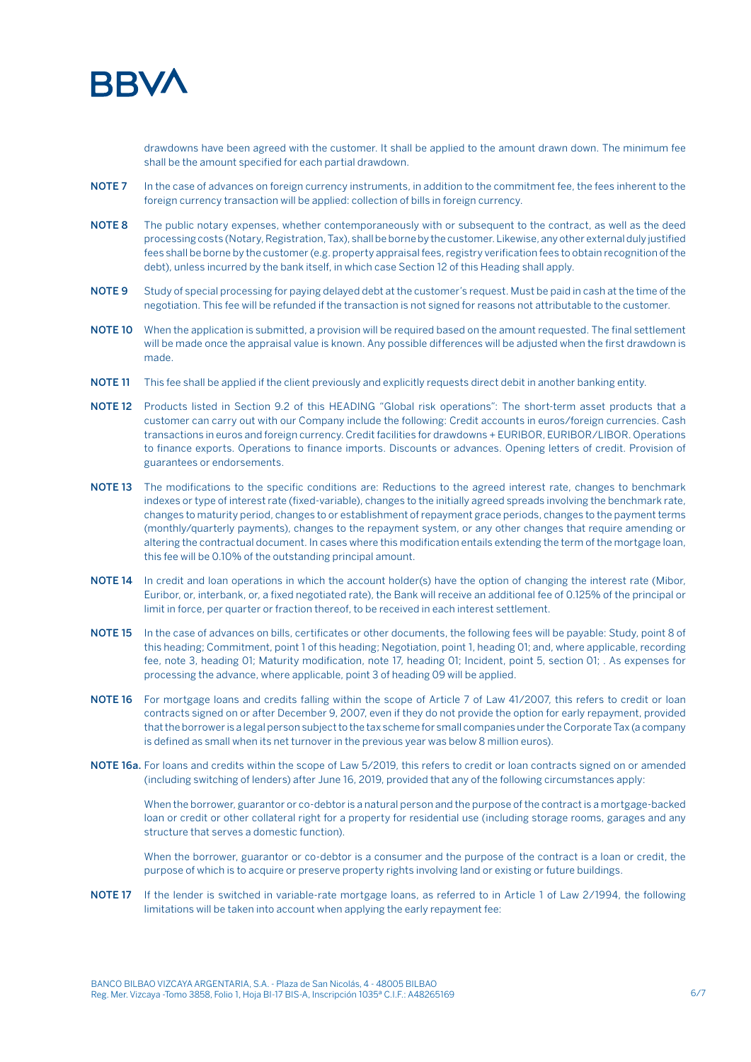

drawdowns have been agreed with the customer. It shall be applied to the amount drawn down. The minimum fee shall be the amount specified for each partial drawdown.

- NOTE 7 In the case of advances on foreign currency instruments, in addition to the commitment fee, the fees inherent to the foreign currency transaction will be applied: collection of bills in foreign currency.
- NOTE 8 The public notary expenses, whether contemporaneously with or subsequent to the contract, as well as the deed processing costs (Notary, Registration, Tax), shall be borne by the customer. Likewise, any other external duly justified fees shall be borne by the customer (e.g. property appraisal fees, registry verification fees to obtain recognition of the debt), unless incurred by the bank itself, in which case Section 12 of this Heading shall apply.
- NOTE 9 Study of special processing for paying delayed debt at the customer's request. Must be paid in cash at the time of the negotiation. This fee will be refunded if the transaction is not signed for reasons not attributable to the customer.
- NOTE 10 When the application is submitted, a provision will be required based on the amount requested. The final settlement will be made once the appraisal value is known. Any possible differences will be adjusted when the first drawdown is made.
- NOTE 11 This fee shall be applied if the client previously and explicitly requests direct debit in another banking entity.
- NOTE 12 Products listed in Section 9.2 of this HEADING "Global risk operations": The short-term asset products that a customer can carry out with our Company include the following: Credit accounts in euros/foreign currencies. Cash transactions in euros and foreign currency. Credit facilities for drawdowns + EURIBOR, EURIBOR/LIBOR. Operations to finance exports. Operations to finance imports. Discounts or advances. Opening letters of credit. Provision of guarantees or endorsements.
- NOTE 13 The modifications to the specific conditions are: Reductions to the agreed interest rate, changes to benchmark indexes or type of interest rate (fixed-variable), changes to the initially agreed spreads involving the benchmark rate, changes to maturity period, changes to or establishment of repayment grace periods, changes to the payment terms (monthly/quarterly payments), changes to the repayment system, or any other changes that require amending or altering the contractual document. In cases where this modification entails extending the term of the mortgage loan, this fee will be 0.10% of the outstanding principal amount.
- NOTE 14 In credit and loan operations in which the account holder(s) have the option of changing the interest rate (Mibor, Euribor, or, interbank, or, a fixed negotiated rate), the Bank will receive an additional fee of 0.125% of the principal or limit in force, per quarter or fraction thereof, to be received in each interest settlement.
- NOTE 15 In the case of advances on bills, certificates or other documents, the following fees will be payable: Study, point 8 of this heading; Commitment, point 1 of this heading; Negotiation, point 1, heading 01; and, where applicable, recording fee, note 3, heading 01; Maturity modification, note 17, heading 01; Incident, point 5, section 01; . As expenses for processing the advance, where applicable, point 3 of heading 09 will be applied.
- NOTE 16 For mortgage loans and credits falling within the scope of Article 7 of Law 41/2007, this refers to credit or loan contracts signed on or after December 9, 2007, even if they do not provide the option for early repayment, provided that the borrower is a legal person subject to the tax scheme for small companies under the Corporate Tax (a company is defined as small when its net turnover in the previous year was below 8 million euros).
- NOTE 16a. For loans and credits within the scope of Law 5/2019, this refers to credit or loan contracts signed on or amended (including switching of lenders) after June 16, 2019, provided that any of the following circumstances apply:

When the borrower, guarantor or co-debtor is a natural person and the purpose of the contract is a mortgage-backed loan or credit or other collateral right for a property for residential use (including storage rooms, garages and any structure that serves a domestic function).

When the borrower, guarantor or co-debtor is a consumer and the purpose of the contract is a loan or credit, the purpose of which is to acquire or preserve property rights involving land or existing or future buildings.

NOTE 17 If the lender is switched in variable-rate mortgage loans, as referred to in Article 1 of Law 2/1994, the following limitations will be taken into account when applying the early repayment fee: